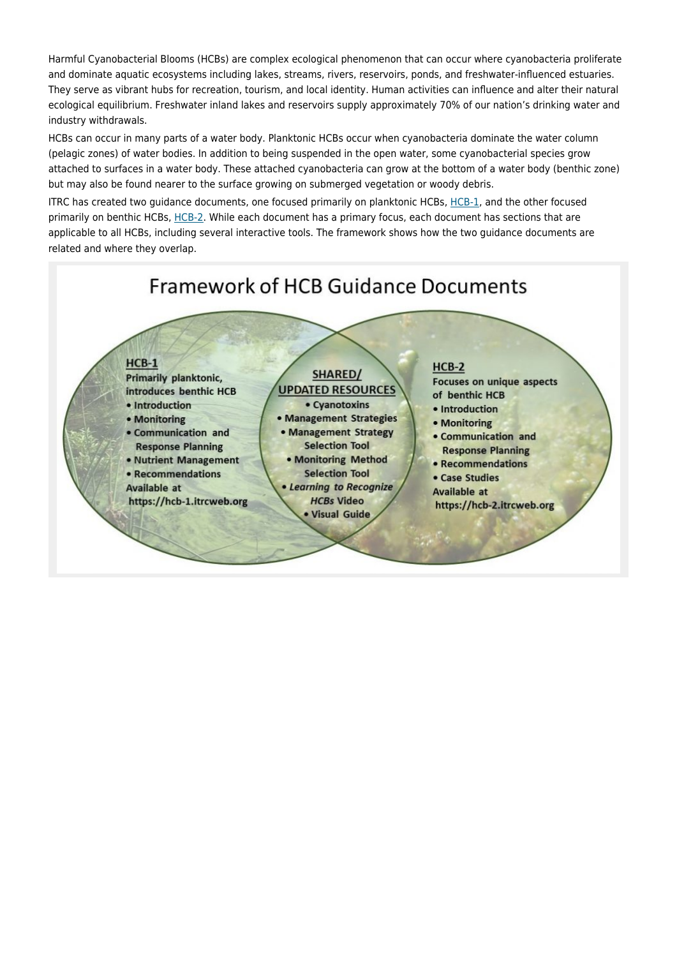Harmful Cyanobacterial Blooms (HCBs) are complex ecological phenomenon that can occur where cyanobacteria proliferate and dominate aquatic ecosystems including lakes, streams, rivers, reservoirs, ponds, and freshwater-influenced estuaries. They serve as vibrant hubs for recreation, tourism, and local identity. Human activities can influence and alter their natural ecological equilibrium. Freshwater inland lakes and reservoirs supply approximately 70% of our nation's drinking water and industry withdrawals.

HCBs can occur in many parts of a water body. Planktonic HCBs occur when cyanobacteria dominate the water column (pelagic zones) of water bodies. In addition to being suspended in the open water, some cyanobacterial species grow attached to surfaces in a water body. These attached cyanobacteria can grow at the bottom of a water body (benthic zone) but may also be found nearer to the surface growing on submerged vegetation or woody debris.

ITRC has created two guidance documents, one focused primarily on planktonic HCBs, [HCB-1,](https://hcb-1.itrcweb.org/) and the other focused primarily on benthic HCBs, [HCB-2.](https://hcb-2.itrcweb.org/introduction/) While each document has a primary focus, each document has sections that are applicable to all HCBs, including several interactive tools. The framework shows how the two guidance documents are related and where they overlap.

## **Framework of HCB Guidance Documents**